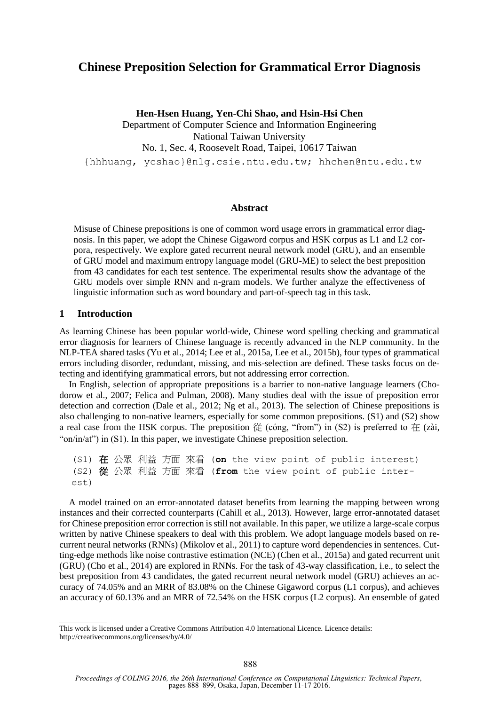# **Chinese Preposition Selection for Grammatical Error Diagnosis**

**Hen-Hsen Huang, Yen-Chi Shao, and Hsin-Hsi Chen**

Department of Computer Science and Information Engineering National Taiwan University No. 1, Sec. 4, Roosevelt Road, Taipei, 10617 Taiwan

{hhhuang, ycshao}@nlg.csie.ntu.edu.tw; hhchen@ntu.edu.tw

### **Abstract**

Misuse of Chinese prepositions is one of common word usage errors in grammatical error diagnosis. In this paper, we adopt the Chinese Gigaword corpus and HSK corpus as L1 and L2 corpora, respectively. We explore gated recurrent neural network model (GRU), and an ensemble of GRU model and maximum entropy language model (GRU-ME) to select the best preposition from 43 candidates for each test sentence. The experimental results show the advantage of the GRU models over simple RNN and n-gram models. We further analyze the effectiveness of linguistic information such as word boundary and part-of-speech tag in this task.

#### **1 Introduction**

As learning Chinese has been popular world-wide, Chinese word spelling checking and grammatical error diagnosis for learners of Chinese language is recently advanced in the NLP community. In the NLP-TEA shared tasks (Yu et al., 2014; Lee et al., 2015a, Lee et al., 2015b), four types of grammatical errors including disorder, redundant, missing, and mis-selection are defined. These tasks focus on detecting and identifying grammatical errors, but not addressing error correction.

In English, selection of appropriate prepositions is a barrier to non-native language learners (Chodorow et al., 2007; Felica and Pulman, 2008). Many studies deal with the issue of preposition error detection and correction (Dale et al., 2012; Ng et al., 2013). The selection of Chinese prepositions is also challenging to non-native learners, especially for some common prepositions. (S1) and (S2) show a real case from the HSK corpus. The preposition  $\frac{1}{10}$  (cóng, "from") in (S2) is preferred to  $\frac{1}{10}$  (zài, "on/in/at") in (S1). In this paper, we investigate Chinese preposition selection.

(S1) 在 公眾 利益 方面 來看 (**on** the view point of public interest) (S2) 從 公眾 利益 方面 來看 (**from** the view point of public interest)

A model trained on an error-annotated dataset benefits from learning the mapping between wrong instances and their corrected counterparts (Cahill et al., 2013). However, large error-annotated dataset for Chinese preposition error correction is still not available. In this paper, we utilize a large-scale corpus written by native Chinese speakers to deal with this problem. We adopt language models based on recurrent neural networks (RNNs) (Mikolov et al., 2011) to capture word dependencies in sentences. Cutting-edge methods like noise contrastive estimation (NCE) (Chen et al., 2015a) and gated recurrent unit (GRU) (Cho et al., 2014) are explored in RNNs. For the task of 43-way classification, i.e., to select the best preposition from 43 candidates, the gated recurrent neural network model (GRU) achieves an accuracy of 74.05% and an MRR of 83.08% on the Chinese Gigaword corpus (L1 corpus), and achieves an accuracy of 60.13% and an MRR of 72.54% on the HSK corpus (L2 corpus). An ensemble of gated

This work is licensed under a Creative Commons Attribution 4.0 International Licence. Licence details: http://creativecommons.org/licenses/by/4.0/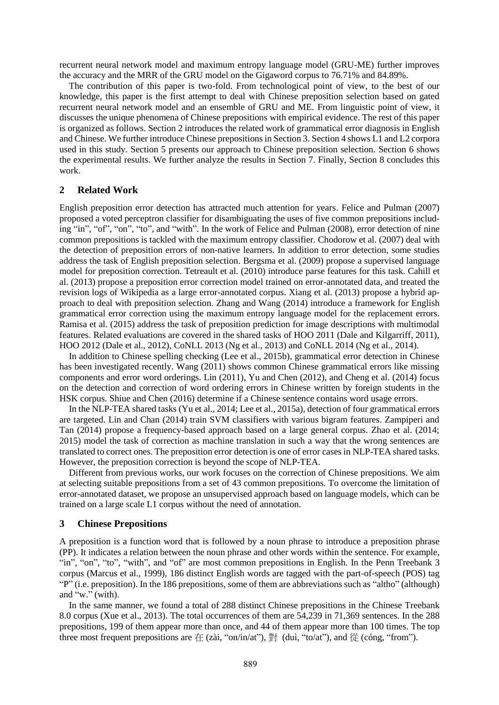recurrent neural network model and maximum entropy language model (GRU-ME) further improves the accuracy and the MRR of the GRU model on the Gigaword corpus to 76.71% and 84.89%.

The contribution of this paper is two-fold. From technological point of view, to the best of our knowledge, this paper is the first attempt to deal with Chinese preposition selection based on gated recurrent neural network model and an ensemble of GRU and ME. From linguistic point of view, it discusses the unique phenomena of Chinese prepositions with empirical evidence. The rest of this paper is organized as follows. Section 2 introduces the related work of grammatical error diagnosis in English and Chinese. We further introduce Chinese prepositions in Section 3. Section 4 shows L1 and L2 corpora used in this study. Section 5 presents our approach to Chinese preposition selection. Section 6 shows the experimental results. We further analyze the results in Section 7. Finally, Section 8 concludes this work.

### **2 Related Work**

English preposition error detection has attracted much attention for years. Felice and Pulman (2007) proposed a voted perceptron classifier for disambiguating the uses of five common prepositions including "in", "of", "on", "to", and "with". In the work of Felice and Pulman (2008), error detection of nine common prepositions is tackled with the maximum entropy classifier. Chodorow et al. (2007) deal with the detection of preposition errors of non-native learners. In addition to error detection, some studies address the task of English preposition selection. Bergsma et al. (2009) propose a supervised language model for preposition correction. Tetreault et al. (2010) introduce parse features for this task. Cahill et al. (2013) propose a preposition error correction model trained on error-annotated data, and treated the revision logs of Wikipedia as a large error-annotated corpus. Xiang et al. (2013) propose a hybrid approach to deal with preposition selection. Zhang and Wang (2014) introduce a framework for English grammatical error correction using the maximum entropy language model for the replacement errors. Ramisa et al. (2015) address the task of preposition prediction for image descriptions with multimodal features. Related evaluations are covered in the shared tasks of HOO 2011 (Dale and Kilgarriff, 2011), HOO 2012 (Dale et al., 2012), CoNLL 2013 (Ng et al., 2013) and CoNLL 2014 (Ng et al., 2014).

In addition to Chinese spelling checking (Lee et al., 2015b), grammatical error detection in Chinese has been investigated recently. Wang (2011) shows common Chinese grammatical errors like missing components and error word orderings. Lin (2011), Yu and Chen (2012), and Cheng et al. (2014) focus on the detection and correction of word ordering errors in Chinese written by foreign students in the HSK corpus. Shiue and Chen (2016) determine if a Chinese sentence contains word usage errors.

In the NLP-TEA shared tasks (Yu et al., 2014; Lee et al., 2015a), detection of four grammatical errors are targeted. Lin and Chan (2014) train SVM classifiers with various bigram features. Zampiperi and Tan (2014) propose a frequency-based approach based on a large general corpus. Zhao et al. (2014; 2015) model the task of correction as machine translation in such a way that the wrong sentences are translated to correct ones. The preposition error detection is one of error cases in NLP-TEA shared tasks. However, the preposition correction is beyond the scope of NLP-TEA.

Different from previous works, our work focuses on the correction of Chinese prepositions. We aim at selecting suitable prepositions from a set of 43 common prepositions. To overcome the limitation of error-annotated dataset, we propose an unsupervised approach based on language models, which can be trained on a large scale L1 corpus without the need of annotation.

#### **3 Chinese Prepositions**

A preposition is a function word that is followed by a noun phrase to introduce a preposition phrase (PP). It indicates a relation between the noun phrase and other words within the sentence. For example, "in", "on", "to", "with", and "of" are most common prepositions in English. In the Penn Treebank 3 corpus (Marcus et al., 1999), 186 distinct English words are tagged with the part-of-speech (POS) tag "P" (i.e. preposition). In the 186 prepositions, some of them are abbreviations such as "altho" (although) and "w." (with).

In the same manner, we found a total of 288 distinct Chinese prepositions in the Chinese Treebank 8.0 corpus (Xue et al., 2013). The total occurrences of them are 54,239 in 71,369 sentences. In the 288 prepositions, 199 of them appear more than once, and 44 of them appear more than 100 times. The top three most frequent prepositions are  $\pi$  (zài, "on/in/at"),  $\#$  (duì, "to/at"), and  $\#$  (cóng, "from").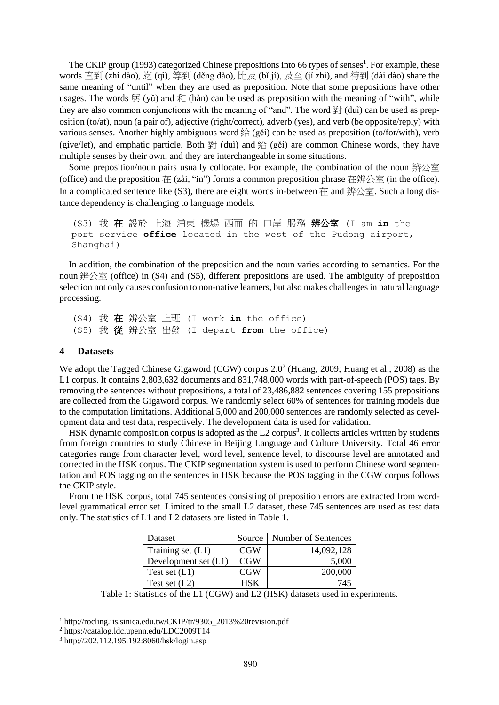The CKIP group (1993) categorized Chinese prepositions into 66 types of senses<sup>1</sup>. For example, these words 直到 (zhí dào), 迄 (qì), 等到 (děng dào), 比及 (bǐ jí), 及至 (jí zhì), and 待到 (dài dào) share the same meaning of "until" when they are used as preposition. Note that some prepositions have other usages. The words  $\boxplus$  (v $\Diamond$ ) and  $\land$  (hàn) can be used as preposition with the meaning of "with", while they are also common conjunctions with the meaning of "and". The word  $\mathbb{H}$  (dui) can be used as preposition (to/at), noun (a pair of), adjective (right/correct), adverb (yes), and verb (be opposite/reply) with various senses. Another highly ambiguous word  $\frac{1}{2}$  (gěi) can be used as preposition (to/for/with), verb (give/let), and emphatic particle. Both  $\frac{1}{2}$  (dui) and  $\frac{1}{2}$  (gěi) are common Chinese words, they have multiple senses by their own, and they are interchangeable in some situations.

Some preposition/noun pairs usually collocate. For example, the combination of the noun 辨公室 (office) and the preposition  $#$  (zài, "in") forms a common preposition phrase 在辨公室 (in the office). In a complicated sentence like (S3), there are eight words in-between  $#$  and  $# \triangle \tilde{\Xi}$ . Such a long distance dependency is challenging to language models.

(S3) 我 在 設於 上海 浦東 機場 西面 的 口岸 服務 辨公室 (I am **in** the port service **office** located in the west of the Pudong airport, Shanghai)

In addition, the combination of the preposition and the noun varies according to semantics. For the noun 辨公室 (office) in (S4) and (S5), different prepositions are used. The ambiguity of preposition selection not only causes confusion to non-native learners, but also makes challenges in natural language processing.

(S4) 我 在 辨公室 上班 (I work **in** the office) (S5) 我 從 辨公室 出發 (I depart **from** the office)

#### **4 Datasets**

We adopt the Tagged Chinese Gigaword (CGW) corpus  $2.0<sup>2</sup>$  (Huang, 2009; Huang et al., 2008) as the L1 corpus. It contains 2,803,632 documents and 831,748,000 words with part-of-speech (POS) tags. By removing the sentences without prepositions, a total of 23,486,882 sentences covering 155 prepositions are collected from the Gigaword corpus. We randomly select 60% of sentences for training models due to the computation limitations. Additional 5,000 and 200,000 sentences are randomly selected as development data and test data, respectively. The development data is used for validation.

HSK dynamic composition corpus is adopted as the L2 corpus<sup>3</sup>. It collects articles written by students from foreign countries to study Chinese in Beijing Language and Culture University. Total 46 error categories range from character level, word level, sentence level, to discourse level are annotated and corrected in the HSK corpus. The CKIP segmentation system is used to perform Chinese word segmentation and POS tagging on the sentences in HSK because the POS tagging in the CGW corpus follows the CKIP style.

From the HSK corpus, total 745 sentences consisting of preposition errors are extracted from wordlevel grammatical error set. Limited to the small L2 dataset, these 745 sentences are used as test data only. The statistics of L1 and L2 datasets are listed in Table 1.

| Dataset                | Source     | Number of Sentences |
|------------------------|------------|---------------------|
| Training set $(L1)$    | <b>CGW</b> | 14,092,128          |
| Development set $(L1)$ | CGW        | 5,000               |
| Test set $(L1)$        | CGW        | 200,000             |
| Test set $(L2)$        | HSK        | 745                 |

Table 1: Statistics of the L1 (CGW) and L2 (HSK) datasets used in experiments.

<sup>&</sup>lt;sup>1</sup> http://rocling.iis.sinica.edu.tw/CKIP/tr/9305\_2013%20revision.pdf

<sup>2</sup> https://catalog.ldc.upenn.edu/LDC2009T14

<sup>3</sup> http://202.112.195.192:8060/hsk/login.asp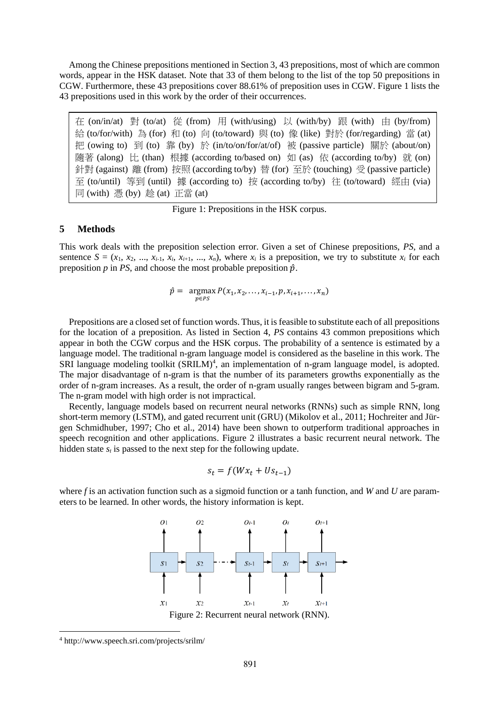Among the Chinese prepositions mentioned in Section 3, 43 prepositions, most of which are common words, appear in the HSK dataset. Note that 33 of them belong to the list of the top 50 prepositions in CGW. Furthermore, these 43 prepositions cover 88.61% of preposition uses in CGW. Figure 1 lists the 43 prepositions used in this work by the order of their occurrences.

在 (on/in/at) 對 (to/at) 從 (from) 用 (with/using) 以 (with/by) 跟 (with) 由 (by/from) 給 (to/for/with) 為 (for) 和 (to) 向 (to/toward) 與 (to) 像 (like) 對於 (for/regarding) 當 (at) 把 (owing to) 到 (to) 靠 (by) 於 (in/to/on/for/at/of) 被 (passive particle) 關於 (about/on) 隨著 (along) 比 (than) 根據 (according to/based on) 如 (as) 依 (according to/by) 就 (on) 針對 (against) 離 (from) 按照 (according to/by) 替 (for) 至於 (touching) 受 (passive particle) 至 (to/until) 等到 (until) 據 (according to) 按 (according to/by) 往 (to/toward) 經由 (via) 同 (with) 憑 (by) 趁 (at) 正當 (at)

Figure 1: Prepositions in the HSK corpus.

### **5 Methods**

This work deals with the preposition selection error. Given a set of Chinese prepositions, *PS*, and a sentence  $S = (x_1, x_2, ..., x_{i-1}, x_i, x_{i+1}, ..., x_n)$ , where  $x_i$  is a preposition, we try to substitute  $x_i$  for each preposition  $p$  in *PS*, and choose the most probable preposition  $\hat{p}$ .

$$
\hat{p} = \mathop{\rm argmax}_{p \in PS} P(x_1, x_2, \dots, x_{i-1}, p, x_{i+1}, \dots, x_n)
$$

Prepositions are a closed set of function words. Thus, it is feasible to substitute each of all prepositions for the location of a preposition. As listed in Section 4, *PS* contains 43 common prepositions which appear in both the CGW corpus and the HSK corpus. The probability of a sentence is estimated by a language model. The traditional n-gram language model is considered as the baseline in this work. The SRI language modeling toolkit (SRILM)<sup>4</sup>, an implementation of n-gram language model, is adopted. The major disadvantage of n-gram is that the number of its parameters growths exponentially as the order of n-gram increases. As a result, the order of n-gram usually ranges between bigram and 5-gram. The n-gram model with high order is not impractical.

Recently, language models based on recurrent neural networks (RNNs) such as simple RNN, long short-term memory (LSTM), and gated recurrent unit (GRU) (Mikolov et al., 2011; Hochreiter and Jürgen Schmidhuber, 1997; Cho et al., 2014) have been shown to outperform traditional approaches in speech recognition and other applications. Figure 2 illustrates a basic recurrent neural network. The hidden state  $s_t$  is passed to the next step for the following update.

$$
s_t = f(Wx_t + Us_{t-1})
$$

where *f* is an activation function such as a sigmoid function or a tanh function, and *W* and *U* are parameters to be learned. In other words, the history information is kept.



<sup>4</sup> http://www.speech.sri.com/projects/srilm/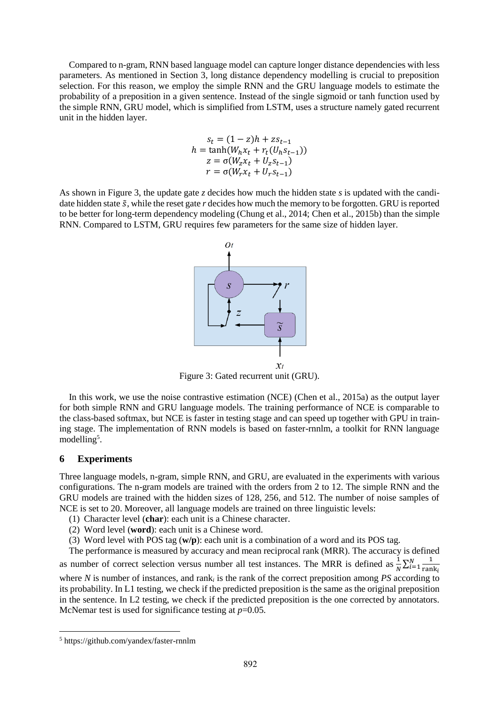Compared to n-gram, RNN based language model can capture longer distance dependencies with less parameters. As mentioned in Section 3, long distance dependency modelling is crucial to preposition selection. For this reason, we employ the simple RNN and the GRU language models to estimate the probability of a preposition in a given sentence. Instead of the single sigmoid or tanh function used by the simple RNN, GRU model, which is simplified from LSTM, uses a structure namely gated recurrent unit in the hidden layer.

$$
s_t = (1 - z)h + zs_{t-1}
$$
  

$$
h = \tanh(W_h x_t + r_t(U_h s_{t-1}))
$$
  

$$
z = \sigma(W_z x_t + U_z s_{t-1})
$$
  

$$
r = \sigma(W_r x_t + U_r s_{t-1})
$$

As shown in Figure 3, the update gate *z* decides how much the hidden state *s* is updated with the candidate hidden state  $\tilde{s}$ , while the reset gate *r* decides how much the memory to be forgotten. GRU is reported to be better for long-term dependency modeling (Chung et al., 2014; Chen et al., 2015b) than the simple RNN. Compared to LSTM, GRU requires few parameters for the same size of hidden layer.



Figure 3: Gated recurrent unit (GRU).

In this work, we use the noise contrastive estimation (NCE) (Chen et al., 2015a) as the output layer for both simple RNN and GRU language models. The training performance of NCE is comparable to the class-based softmax, but NCE is faster in testing stage and can speed up together with GPU in training stage. The implementation of RNN models is based on faster-rnnlm, a toolkit for RNN language modelling<sup>5</sup>.

#### **6 Experiments**

Three language models, n-gram, simple RNN, and GRU, are evaluated in the experiments with various configurations. The n-gram models are trained with the orders from 2 to 12. The simple RNN and the GRU models are trained with the hidden sizes of 128, 256, and 512. The number of noise samples of NCE is set to 20. Moreover, all language models are trained on three linguistic levels:

- (1) Character level (**char**): each unit is a Chinese character.
- (2) Word level (**word**): each unit is a Chinese word.
- (3) Word level with POS tag (**w/p**): each unit is a combination of a word and its POS tag.

The performance is measured by accuracy and mean reciprocal rank (MRR). The accuracy is defined as number of correct selection versus number all test instances. The MRR is defined as  $\frac{1}{N} \sum_{i=1}^{N} \frac{1}{\text{ran}}$ rank  $\frac{N}{i=1}$ where *N* is number of instances, and rank*<sup>i</sup>* is the rank of the correct preposition among *PS* according to its probability. In L1 testing, we check if the predicted preposition is the same as the original preposition in the sentence. In L2 testing, we check if the predicted preposition is the one corrected by annotators. McNemar test is used for significance testing at  $p=0.05$ .

<sup>5</sup> https://github.com/yandex/faster-rnnlm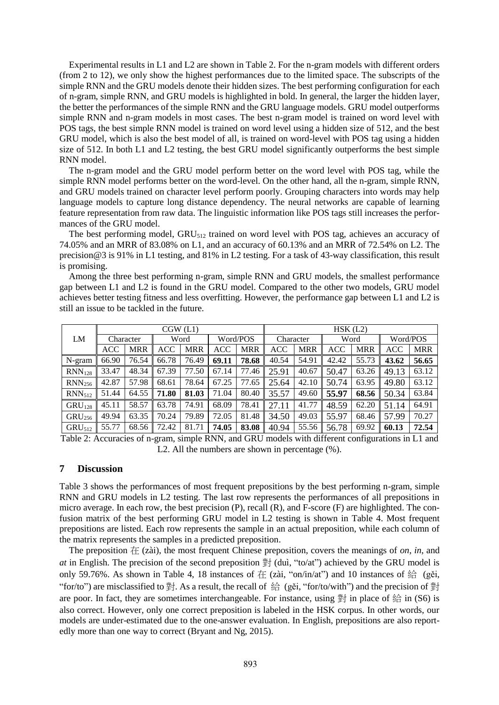Experimental results in L1 and L2 are shown in Table 2. For the n-gram models with different orders (from 2 to 12), we only show the highest performances due to the limited space. The subscripts of the simple RNN and the GRU models denote their hidden sizes. The best performing configuration for each of n-gram, simple RNN, and GRU models is highlighted in bold. In general, the larger the hidden layer, the better the performances of the simple RNN and the GRU language models. GRU model outperforms simple RNN and n-gram models in most cases. The best n-gram model is trained on word level with POS tags, the best simple RNN model is trained on word level using a hidden size of 512, and the best GRU model, which is also the best model of all, is trained on word-level with POS tag using a hidden size of 512. In both L1 and L2 testing, the best GRU model significantly outperforms the best simple RNN model.

The n-gram model and the GRU model perform better on the word level with POS tag, while the simple RNN model performs better on the word-level. On the other hand, all the n-gram, simple RNN, and GRU models trained on character level perform poorly. Grouping characters into words may help language models to capture long distance dependency. The neural networks are capable of learning feature representation from raw data. The linguistic information like POS tags still increases the performances of the GRU model.

The best performing model, GRU<sub>512</sub> trained on word level with POS tag, achieves an accuracy of 74.05% and an MRR of 83.08% on L1, and an accuracy of 60.13% and an MRR of 72.54% on L2. The precision@3 is 91% in L1 testing, and 81% in L2 testing. For a task of 43-way classification, this result is promising.

Among the three best performing n-gram, simple RNN and GRU models, the smallest performance gap between L1 and L2 is found in the GRU model. Compared to the other two models, GRU model achieves better testing fitness and less overfitting. However, the performance gap between L1 and L2 is still an issue to be tackled in the future.

|                    | CGW(L1)    |            |       |            |          |            | HSK(L2)   |            |       |            |            |            |
|--------------------|------------|------------|-------|------------|----------|------------|-----------|------------|-------|------------|------------|------------|
| LM                 | Character  |            | Word  |            | Word/POS |            | Character |            | Word  |            | Word/POS   |            |
|                    | <b>ACC</b> | <b>MRR</b> | ACC   | <b>MRR</b> | ACC      | <b>MRR</b> | ACC       | <b>MRR</b> | ACC   | <b>MRR</b> | <b>ACC</b> | <b>MRR</b> |
| N-gram             | 66.90      | 76.54      | 66.78 | 76.49      | 69.11    | 78.68      | 40.54     | 54.91      | 42.42 | 55.73      | 43.62      | 56.65      |
| RNN <sub>128</sub> | 33.47      | 48.34      | 67.39 | 77.50      | 67.14    | 77.46      | 25.91     | 40.67      | 50.47 | 63.26      | 49.13      | 63.12      |
| RNN <sub>256</sub> | 42.87      | 57.98      | 68.61 | 78.64      | 67.25    | 77.65      | 25.64     | 42.10      | 50.74 | 63.95      | 49.80      | 63.12      |
| RNN <sub>512</sub> | 51.44      | 64.55      | 71.80 | 81.03      | 71.04    | 80.40      | 35.57     | 49.60      | 55.97 | 68.56      | 50.34      | 63.84      |
| GRU <sub>128</sub> | 45.11      | 58.57      | 63.78 | 74.91      | 68.09    | 78.41      | 27.11     | 41.77      | 48.59 | 62.20      | 51.14      | 64.91      |
| GRU <sub>256</sub> | 49.94      | 63.35      | 70.24 | 79.89      | 72.05    | 81.48      | 34.50     | 49.03      | 55.97 | 68.46      | 57.99      | 70.27      |
| GRU <sub>512</sub> | 55.77      | 68.56      | 72.42 | 81.71      | 74.05    | 83.08      | 40.94     | 55.56      | 56.78 | 69.92      | 60.13      | 72.54      |

Table 2: Accuracies of n-gram, simple RNN, and GRU models with different configurations in L1 and L2. All the numbers are shown in percentage (%).

### **7 Discussion**

Table 3 shows the performances of most frequent prepositions by the best performing n-gram, simple RNN and GRU models in L2 testing. The last row represents the performances of all prepositions in micro average. In each row, the best precision (P), recall (R), and F-score (F) are highlighted. The confusion matrix of the best performing GRU model in L2 testing is shown in Table 4. Most frequent prepositions are listed. Each row represents the sample in an actual preposition, while each column of the matrix represents the samples in a predicted preposition.

The preposition 在 (zài), the most frequent Chinese preposition, covers the meanings of *on*, *in*, and *at* in English. The precision of the second preposition 對 (duì, "to/at") achieved by the GRU model is only 59.76%. As shown in Table 4, 18 instances of  $\pm$  (zài, "on/in/at") and 10 instances of  $\frac{2}{32}$  (gěi, "for/to") are misclassified to  $\frac{4}{3}$ . As a result, the recall of 給 (gěi, "for/to/with") and the precision of 對 are poor. In fact, they are sometimes interchangeable. For instance, using  $\frac{36}{21}$  in place of  $\frac{46}{21}$  in (S6) is also correct. However, only one correct preposition is labeled in the HSK corpus. In other words, our models are under-estimated due to the one-answer evaluation. In English, prepositions are also reportedly more than one way to correct (Bryant and Ng, 2015).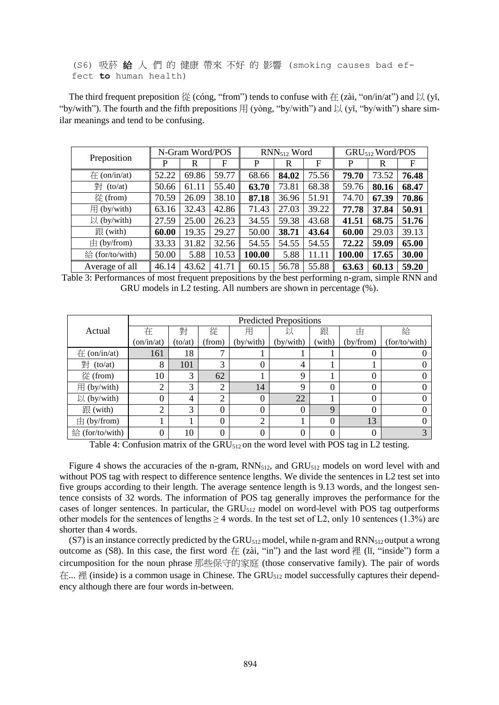## (S6) 吸菸 給 人 們 的 健康 帶來 不好 的 影響 (smoking causes bad effect **to** human health)

The third frequent preposition  $\frac{1}{12}$  (cóng, "from") tends to confuse with  $\pm$  (zài, "on/in/at") and  $\frac{1}{12}$  (yi, "by/with"). The fourth and the fifth prepositions  $\boxplus$  (yòng, "by/with") and  $\Box$  (yǐ, "by/with") share similar meanings and tend to be confusing.

| Preposition             | N-Gram Word/POS |       |       | $RNN_{512}$ Word |       |       | GRU <sub>512</sub> Word/POS |       |       |
|-------------------------|-----------------|-------|-------|------------------|-------|-------|-----------------------------|-------|-------|
|                         | P               | R     | F     | P                | R     | F     | P                           | R     | F     |
| $\pm$ (on/in/at)        | 52.22           | 69.86 | 59.77 | 68.66            | 84.02 | 75.56 | 79.70                       | 73.52 | 76.48 |
| 對 (to/at)               | 50.66           | 61.11 | 55.40 | 63.70            | 73.81 | 68.38 | 59.76                       | 80.16 | 68.47 |
| 從 (from)                | 70.59           | 26.09 | 38.10 | 87.18            | 36.96 | 51.91 | 74.70                       | 67.39 | 70.86 |
| $\#$ (by/with)          | 63.16           | 32.43 | 42.86 | 71.43            | 27.03 | 39.22 | 77.78                       | 37.84 | 50.91 |
| $\mathcal{U}$ (by/with) | 27.59           | 25.00 | 26.23 | 34.55            | 59.38 | 43.68 | 41.51                       | 68.75 | 51.76 |
| 跟(with)                 | 60.00           | 19.35 | 29.27 | 50.00            | 38.71 | 43.64 | 60.00                       | 29.03 | 39.13 |
| $\pm$ (by/from)         | 33.33           | 31.82 | 32.56 | 54.55            | 54.55 | 54.55 | 72.22                       | 59.09 | 65.00 |
| 給 (for/to/with)         | 50.00           | 5.88  | 10.53 | 100.00           | 5.88  | 11.11 | 100.00                      | 17.65 | 30.00 |
| Average of all          | 46.14           | 43.62 | 41.71 | 60.15            | 56.78 | 55.88 | 63.63                       | 60.13 | 59.20 |

Table 3: Performances of most frequent prepositions by the best performing n-gram, simple RNN and GRU models in L2 testing. All numbers are shown in percentage (%).

|                  | <b>Predicted Prepositions</b> |         |                |                  |           |          |           |               |  |
|------------------|-------------------------------|---------|----------------|------------------|-----------|----------|-----------|---------------|--|
| Actual           | 在                             | 對       | 從              | 用                |           | 跟        | 由         | 給             |  |
|                  | (on/in/at)                    | (to/at) | (from)         | (by/with)        | (by/with) | (with)   | (by/from) | (for/to/with) |  |
| $\pm$ (on/in/at) | 161                           | 18      |                |                  |           |          |           |               |  |
| 對 (to/at)        | 8                             | 101     | 3              | 0                | 4         |          |           |               |  |
| 從 (from)         | 10                            | 3       | 62             |                  | 9         |          |           |               |  |
| 用 (by/with)      | ◠                             | 3       | $\bigcap$      | 14               | 9         | $\theta$ |           |               |  |
| 以 (by/with)      |                               | 4       | $\bigcap$<br>∠ | $\boldsymbol{0}$ | 22        |          |           |               |  |
| 跟(with)          | ◠                             | 3       | $\Omega$       | $\theta$         | 0         | 9        |           |               |  |
| $\pm$ (by/from)  |                               |         |                | 2                |           | 0        | 13        |               |  |
| 給 (for/to/with)  |                               | 10      | $\Omega$       | $\overline{0}$   | 0         | 0        |           |               |  |

Table 4: Confusion matrix of the GRU $_{512}$  on the word level with POS tag in L2 testing.

Figure 4 shows the accuracies of the n-gram,  $RNN<sub>512</sub>$ , and  $GRU<sub>512</sub>$  models on word level with and without POS tag with respect to difference sentence lengths. We divide the sentences in L2 test set into five groups according to their length. The average sentence length is 9.13 words, and the longest sentence consists of 32 words. The information of POS tag generally improves the performance for the cases of longer sentences. In particular, the  $GRU<sub>512</sub>$  model on word-level with POS tag outperforms other models for the sentences of lengths  $\geq 4$  words. In the test set of L2, only 10 sentences (1.3%) are shorter than 4 words.

(S7) is an instance correctly predicted by the GRU $_{512}$  model, while n-gram and RNN $_{512}$  output a wrong outcome as (S8). In this case, the first word  $\pm$  (zài, "in") and the last word  $\pm$  (li, "inside") form a circumposition for the noun phrase 那些保守的家庭 (those conservative family). The pair of words 在... 裡 (inside) is a common usage in Chinese. The GRU<sup>512</sup> model successfully captures their dependency although there are four words in-between.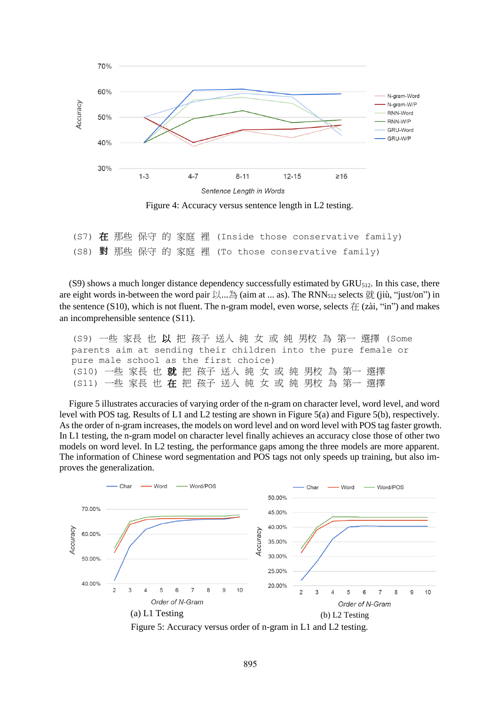

(S7) 在 那些 保守 的 家庭 裡 (Inside those conservative family) (S8) **對** 那些 保守 的 家庭 裡 (To those conservative family)

(S9) shows a much longer distance dependency successfully estimated by  $GRU<sub>512</sub>$ . In this case, there are eight words in-between the word pair  $\Box$ ...  $\Diamond$  (aim at ... as). The RNN<sub>512</sub> selects  $\Diamond$  (jiù, "just/on") in the sentence (S10), which is not fluent. The n-gram model, even worse, selects  $\pm$  (zài, "in") and makes an incomprehensible sentence (S11).

| (S9) 一些 家長 也 以 把 孩子 送入 純 女 或 純 男校 為 第一 選擇 (Some               |  |
|---------------------------------------------------------------|--|
| parents aim at sending their children into the pure female or |  |
| pure male school as the first choice)                         |  |
| (S10) 一些 家長 也 就 把 孩子 送入 純 女 或 純 男校 為 第一 選擇                    |  |
| (S11) 一些 家長 也 在 把 孩子 送入 純 女 或 純 男校 為 第一 選擇                    |  |

Figure 5 illustrates accuracies of varying order of the n-gram on character level, word level, and word level with POS tag. Results of L1 and L2 testing are shown in Figure 5(a) and Figure 5(b), respectively. As the order of n-gram increases, the models on word level and on word level with POS tag faster growth. In L1 testing, the n-gram model on character level finally achieves an accuracy close those of other two models on word level. In L2 testing, the performance gaps among the three models are more apparent. The information of Chinese word segmentation and POS tags not only speeds up training, but also improves the generalization.



Figure 5: Accuracy versus order of n-gram in L1 and L2 testing.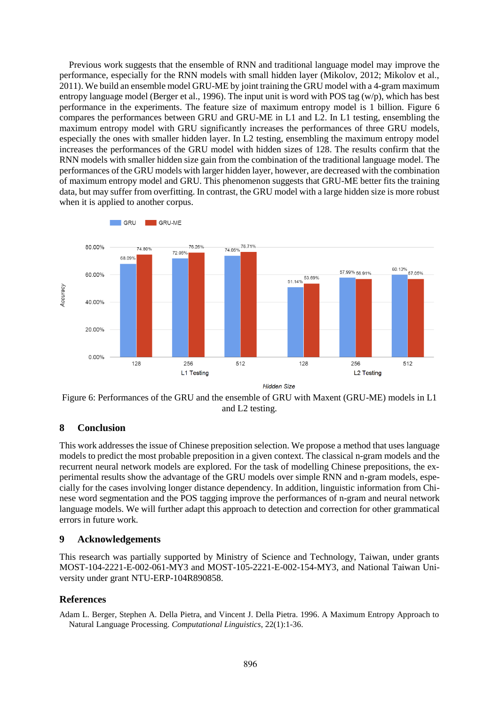Previous work suggests that the ensemble of RNN and traditional language model may improve the performance, especially for the RNN models with small hidden layer (Mikolov, 2012; Mikolov et al., 2011). We build an ensemble model GRU-ME by joint training the GRU model with a 4-gram maximum entropy language model (Berger et al., 1996). The input unit is word with POS tag (w/p), which has best performance in the experiments. The feature size of maximum entropy model is 1 billion. Figure 6 compares the performances between GRU and GRU-ME in L1 and L2. In L1 testing, ensembling the maximum entropy model with GRU significantly increases the performances of three GRU models, especially the ones with smaller hidden layer. In L2 testing, ensembling the maximum entropy model increases the performances of the GRU model with hidden sizes of 128. The results confirm that the RNN models with smaller hidden size gain from the combination of the traditional language model. The performances of the GRU models with larger hidden layer, however, are decreased with the combination of maximum entropy model and GRU. This phenomenon suggests that GRU-ME better fits the training data, but may suffer from overfitting. In contrast, the GRU model with a large hidden size is more robust when it is applied to another corpus.



Figure 6: Performances of the GRU and the ensemble of GRU with Maxent (GRU-ME) models in L1 and L2 testing.

# **8 Conclusion**

This work addresses the issue of Chinese preposition selection. We propose a method that uses language models to predict the most probable preposition in a given context. The classical n-gram models and the recurrent neural network models are explored. For the task of modelling Chinese prepositions, the experimental results show the advantage of the GRU models over simple RNN and n-gram models, especially for the cases involving longer distance dependency. In addition, linguistic information from Chinese word segmentation and the POS tagging improve the performances of n-gram and neural network language models. We will further adapt this approach to detection and correction for other grammatical errors in future work.

# **9 Acknowledgements**

This research was partially supported by Ministry of Science and Technology, Taiwan, under grants MOST-104-2221-E-002-061-MY3 and MOST-105-2221-E-002-154-MY3, and National Taiwan University under grant NTU-ERP-104R890858.

# **References**

Adam L. Berger, Stephen A. Della Pietra, and Vincent J. Della Pietra. 1996. A Maximum Entropy Approach to Natural Language Processing. *Computational Linguistics*, 22(1):1-36.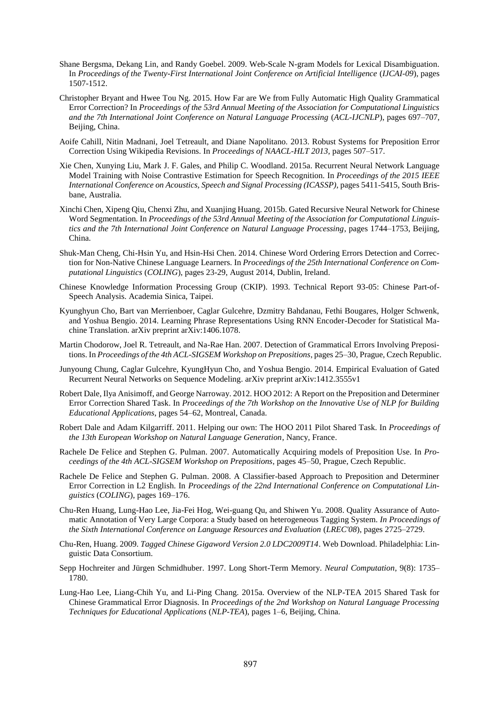- Shane Bergsma, Dekang Lin, and Randy Goebel. 2009. Web-Scale N-gram Models for Lexical Disambiguation. In *Proceedings of the Twenty-First International Joint Conference on Artificial Intelligence* (*IJCAI-09*), pages 1507-1512.
- Christopher Bryant and Hwee Tou Ng. 2015. How Far are We from Fully Automatic High Quality Grammatical Error Correction? In *Proceedings of the 53rd Annual Meeting of the Association for Computational Linguistics and the 7th International Joint Conference on Natural Language Processing* (*ACL-IJCNLP*), pages 697–707, Beijing, China.
- Aoife Cahill, Nitin Madnani, Joel Tetreault, and Diane Napolitano. 2013. Robust Systems for Preposition Error Correction Using Wikipedia Revisions. In *Proceedings of NAACL-HLT 2013*, pages 507–517.
- Xie Chen, Xunying Liu, Mark J. F. Gales, and Philip C. Woodland. 2015a. Recurrent Neural Network Language Model Training with Noise Contrastive Estimation for Speech Recognition. In *Proceedings of the 2015 IEEE International Conference on Acoustics, Speech and Signal Processing (ICASSP)*, pages 5411-5415, South Brisbane, Australia.
- Xinchi Chen, Xipeng Qiu, Chenxi Zhu, and Xuanjing Huang. 2015b. Gated Recursive Neural Network for Chinese Word Segmentation. In *Proceedings of the 53rd Annual Meeting of the Association for Computational Linguistics and the 7th International Joint Conference on Natural Language Processing*, pages 1744–1753, Beijing, China.
- Shuk-Man Cheng, Chi-Hsin Yu, and Hsin-Hsi Chen. 2014. Chinese Word Ordering Errors Detection and Correction for Non-Native Chinese Language Learners. In *Proceedings of the 25th International Conference on Computational Linguistics* (*COLING*), pages 23-29, August 2014, Dublin, Ireland.
- Chinese Knowledge Information Processing Group (CKIP). 1993. Technical Report 93-05: Chinese Part-of-Speech Analysis. Academia Sinica, Taipei.
- Kyunghyun Cho, Bart van Merrienboer, Caglar Gulcehre, Dzmitry Bahdanau, Fethi Bougares, Holger Schwenk, and Yoshua Bengio. 2014. Learning Phrase Representations Using RNN Encoder-Decoder for Statistical Machine Translation. arXiv preprint arXiv:1406.1078.
- Martin Chodorow, Joel R. Tetreault, and Na-Rae Han. 2007. Detection of Grammatical Errors Involving Prepositions. In *Proceedings of the 4th ACL-SIGSEM Workshop on Prepositions*, pages 25–30, Prague, Czech Republic.
- Junyoung Chung, Caglar Gulcehre, KyungHyun Cho, and Yoshua Bengio. 2014. Empirical Evaluation of Gated Recurrent Neural Networks on Sequence Modeling. arXiv preprint arXiv:1412.3555v1
- Robert Dale, Ilya Anisimoff, and George Narroway. 2012. HOO 2012: A Report on the Preposition and Determiner Error Correction Shared Task. In *Proceedings of the 7th Workshop on the Innovative Use of NLP for Building Educational Applications*, pages 54–62, Montreal, Canada.
- Robert Dale and Adam Kilgarriff. 2011. Helping our own: The HOO 2011 Pilot Shared Task. In *Proceedings of the 13th European Workshop on Natural Language Generation*, Nancy, France.
- Rachele De Felice and Stephen G. Pulman. 2007. Automatically Acquiring models of Preposition Use. In *Proceedings of the 4th ACL-SIGSEM Workshop on Prepositions*, pages 45–50, Prague, Czech Republic.
- Rachele De Felice and Stephen G. Pulman. 2008. A Classifier-based Approach to Preposition and Determiner Error Correction in L2 English. In *Proceedings of the 22nd International Conference on Computational Linguistics* (*COLING*), pages 169–176.
- Chu-Ren Huang, Lung-Hao Lee, Jia-Fei Hog, Wei-guang Qu, and Shiwen Yu. 2008. Quality Assurance of Automatic Annotation of Very Large Corpora: a Study based on heterogeneous Tagging System. *In Proceedings of the Sixth International Conference on Language Resources and Evaluation* (*LREC'08*), pages 2725–2729.
- Chu-Ren, Huang. 2009. *Tagged Chinese Gigaword Version 2.0 LDC2009T14*. Web Download. Philadelphia: Linguistic Data Consortium.
- Sepp Hochreiter and Jürgen Schmidhuber. 1997. Long Short-Term Memory. *Neural Computation*, 9(8): 1735– 1780.
- Lung-Hao Lee, Liang-Chih Yu, and Li-Ping Chang. 2015a. Overview of the NLP-TEA 2015 Shared Task for Chinese Grammatical Error Diagnosis. In *Proceedings of the 2nd Workshop on Natural Language Processing Techniques for Educational Applications* (*NLP-TEA*), pages 1–6, Beijing, China.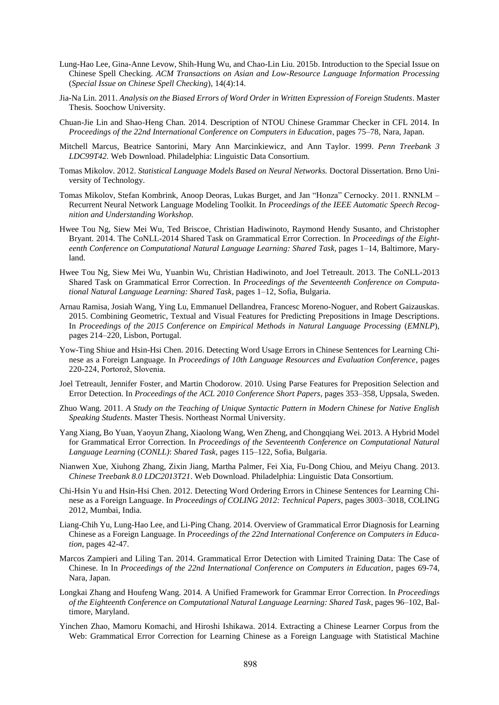- Lung-Hao Lee, Gina-Anne Levow, Shih-Hung Wu, and Chao-Lin Liu. 2015b. Introduction to the Special Issue on Chinese Spell Checking. *ACM Transactions on Asian and Low-Resource Language Information Processing* (*Special Issue on Chinese Spell Checking*), 14(4):14.
- Jia-Na Lin. 2011. *Analysis on the Biased Errors of Word Order in Written Expression of Foreign Students*. Master Thesis. Soochow University.
- Chuan-Jie Lin and Shao-Heng Chan. 2014. Description of NTOU Chinese Grammar Checker in CFL 2014. In *Proceedings of the 22nd International Conference on Computers in Education*, pages 75–78, Nara, Japan.
- Mitchell Marcus, Beatrice Santorini, Mary Ann Marcinkiewicz, and Ann Taylor. 1999. *Penn Treebank 3 LDC99T42.* Web Download. Philadelphia: Linguistic Data Consortium.
- Tomas Mikolov. 2012. *Statistical Language Models Based on Neural Networks.* Doctoral Dissertation. Brno University of Technology.
- Tomas Mikolov, Stefan Kombrink, Anoop Deoras, Lukas Burget, and Jan "Honza" Cernocky. 2011. RNNLM Recurrent Neural Network Language Modeling Toolkit. In *Proceedings of the IEEE Automatic Speech Recognition and Understanding Workshop.*
- Hwee Tou Ng, Siew Mei Wu, Ted Briscoe, Christian Hadiwinoto, Raymond Hendy Susanto, and Christopher Bryant. 2014. The CoNLL-2014 Shared Task on Grammatical Error Correction. In *Proceedings of the Eighteenth Conference on Computational Natural Language Learning: Shared Task*, pages 1–14, Baltimore, Maryland.
- Hwee Tou Ng, Siew Mei Wu, Yuanbin Wu, Christian Hadiwinoto, and Joel Tetreault. 2013. The CoNLL-2013 Shared Task on Grammatical Error Correction. In *Proceedings of the Seventeenth Conference on Computational Natural Language Learning: Shared Task*, pages 1–12, Sofia, Bulgaria.
- Arnau Ramisa, Josiah Wang, Ying Lu, Emmanuel Dellandrea, Francesc Moreno-Noguer, and Robert Gaizauskas. 2015. Combining Geometric, Textual and Visual Features for Predicting Prepositions in Image Descriptions. In *Proceedings of the 2015 Conference on Empirical Methods in Natural Language Processing* (*EMNLP*), pages 214–220, Lisbon, Portugal.
- Yow-Ting Shiue and Hsin-Hsi Chen. 2016. Detecting Word Usage Errors in Chinese Sentences for Learning Chinese as a Foreign Language. In *Proceedings of 10th Language Resources and Evaluation Conference*, pages 220-224, Portorož, Slovenia.
- Joel Tetreault, Jennifer Foster, and Martin Chodorow. 2010. Using Parse Features for Preposition Selection and Error Detection. In *Proceedings of the ACL 2010 Conference Short Papers*, pages 353–358, Uppsala, Sweden.
- Zhuo Wang. 2011. *A Study on the Teaching of Unique Syntactic Pattern in Modern Chinese for Native English Speaking Students*. Master Thesis. Northeast Normal University.
- Yang Xiang, Bo Yuan, Yaoyun Zhang, Xiaolong Wang, Wen Zheng, and Chongqiang Wei. 2013. A Hybrid Model for Grammatical Error Correction. In *Proceedings of the Seventeenth Conference on Computational Natural Language Learning* (*CONLL)*: *Shared Task*, pages 115–122, Sofia, Bulgaria.
- Nianwen Xue, Xiuhong Zhang, Zixin Jiang, Martha Palmer, Fei Xia, Fu-Dong Chiou, and Meiyu Chang. 2013. *Chinese Treebank 8.0 LDC2013T21*. Web Download. Philadelphia: Linguistic Data Consortium.
- Chi-Hsin Yu and Hsin-Hsi Chen. 2012. Detecting Word Ordering Errors in Chinese Sentences for Learning Chinese as a Foreign Language. In *Proceedings of COLING 2012: Technical Papers*, pages 3003–3018, COLING 2012, Mumbai, India.
- Liang-Chih Yu, Lung-Hao Lee, and Li-Ping Chang. 2014. Overview of Grammatical Error Diagnosis for Learning Chinese as a Foreign Language. In *Proceedings of the 22nd International Conference on Computers in Education*, pages 42-47.
- Marcos Zampieri and Liling Tan. 2014. Grammatical Error Detection with Limited Training Data: The Case of Chinese. In In *Proceedings of the 22nd International Conference on Computers in Education*, pages 69-74, Nara, Japan.
- Longkai Zhang and Houfeng Wang. 2014. A Unified Framework for Grammar Error Correction. In *Proceedings of the Eighteenth Conference on Computational Natural Language Learning: Shared Task*, pages 96–102, Baltimore, Maryland.
- Yinchen Zhao, Mamoru Komachi, and Hiroshi Ishikawa. 2014. Extracting a Chinese Learner Corpus from the Web: Grammatical Error Correction for Learning Chinese as a Foreign Language with Statistical Machine